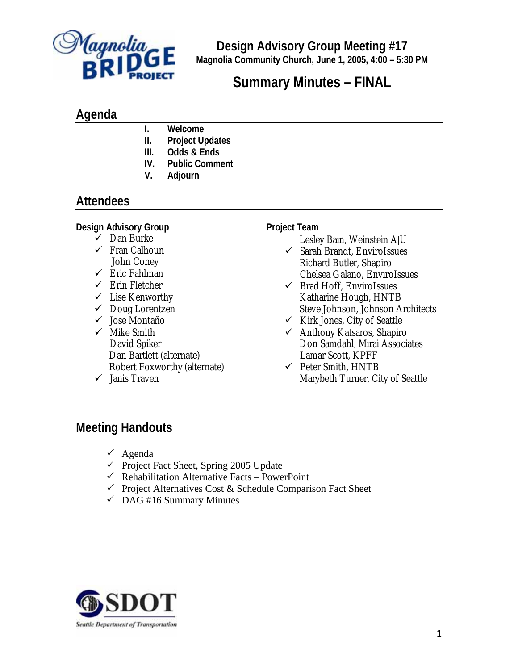

**Design Advisory Group Meeting #17 Magnolia Community Church, June 1, 2005, 4:00 – 5:30 PM**

# **Summary Minutes – FINAL**

### **Agenda**

- **I. Welcome**
- **II. Project Updates**
- **III. Odds & Ends**
- **IV. Public Comment**
- **V. Adjourn**

## **Attendees**

#### **Design Advisory Group**

- $\checkmark$  Dan Burke
- $\checkmark$  Fran Calhoun John Coney
- $\checkmark$  Eric Fahlman
- $\checkmark$  Erin Fletcher
- $\checkmark$  Lise Kenworthy
- $\checkmark$  Doug Lorentzen
- $\checkmark$  Jose Montaño
- $\checkmark$  Mike Smith David Spiker Dan Bartlett (alternate) Robert Foxworthy (alternate)
- $\checkmark$  Janis Traven

#### **Project Team**

- Lesley Bain, Weinstein A|U
- $\checkmark$  Sarah Brandt, EnviroIssues Richard Butler, Shapiro Chelsea Galano, EnviroIssues
- $\checkmark$  Brad Hoff, EnviroIssues Katharine Hough, HNTB Steve Johnson, Johnson Architects
- $\checkmark$  Kirk Jones, City of Seattle
- $\checkmark$  Anthony Katsaros, Shapiro Don Samdahl, Mirai Associates Lamar Scott, KPFF
- $\checkmark$  Peter Smith, HNTB Marybeth Turner, City of Seattle

### **Meeting Handouts**

- $\checkmark$  Agenda
- $\checkmark$  Project Fact Sheet, Spring 2005 Update
- $\checkmark$  Rehabilitation Alternative Facts PowerPoint
- $\checkmark$  Project Alternatives Cost & Schedule Comparison Fact Sheet
- $\checkmark$  DAG #16 Summary Minutes

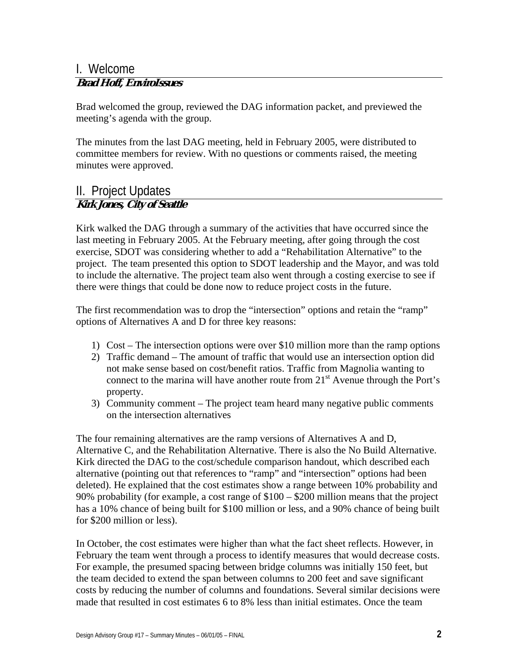### I. Welcome

#### **Brad Hoff, EnviroIssues**

Brad welcomed the group, reviewed the DAG information packet, and previewed the meeting's agenda with the group.

The minutes from the last DAG meeting, held in February 2005, were distributed to committee members for review. With no questions or comments raised, the meeting minutes were approved.

#### II. Project Updates **Kirk Jones, City of Seattle**

Kirk walked the DAG through a summary of the activities that have occurred since the last meeting in February 2005. At the February meeting, after going through the cost exercise, SDOT was considering whether to add a "Rehabilitation Alternative" to the project. The team presented this option to SDOT leadership and the Mayor, and was told to include the alternative. The project team also went through a costing exercise to see if there were things that could be done now to reduce project costs in the future.

The first recommendation was to drop the "intersection" options and retain the "ramp" options of Alternatives A and D for three key reasons:

- 1) Cost The intersection options were over \$10 million more than the ramp options
- 2) Traffic demand The amount of traffic that would use an intersection option did not make sense based on cost/benefit ratios. Traffic from Magnolia wanting to connect to the marina will have another route from  $21<sup>st</sup>$  Avenue through the Port's property.
- 3) Community comment The project team heard many negative public comments on the intersection alternatives

The four remaining alternatives are the ramp versions of Alternatives A and D, Alternative C, and the Rehabilitation Alternative. There is also the No Build Alternative. Kirk directed the DAG to the cost/schedule comparison handout, which described each alternative (pointing out that references to "ramp" and "intersection" options had been deleted). He explained that the cost estimates show a range between 10% probability and 90% probability (for example, a cost range of \$100 – \$200 million means that the project has a 10% chance of being built for \$100 million or less, and a 90% chance of being built for \$200 million or less).

In October, the cost estimates were higher than what the fact sheet reflects. However, in February the team went through a process to identify measures that would decrease costs. For example, the presumed spacing between bridge columns was initially 150 feet, but the team decided to extend the span between columns to 200 feet and save significant costs by reducing the number of columns and foundations. Several similar decisions were made that resulted in cost estimates 6 to 8% less than initial estimates. Once the team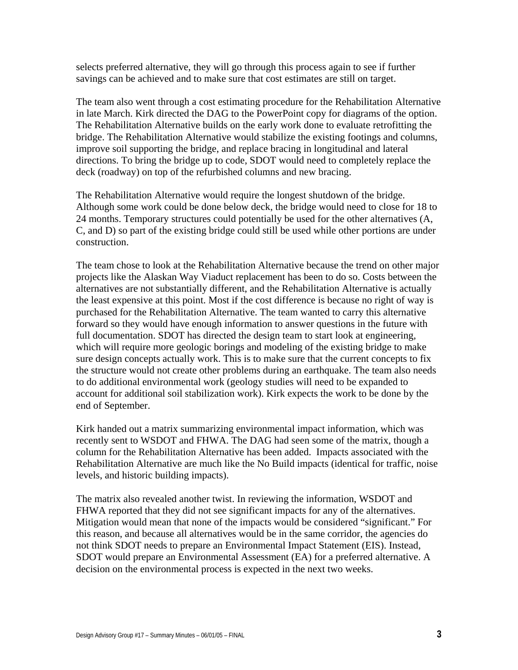selects preferred alternative, they will go through this process again to see if further savings can be achieved and to make sure that cost estimates are still on target.

The team also went through a cost estimating procedure for the Rehabilitation Alternative in late March. Kirk directed the DAG to the PowerPoint copy for diagrams of the option. The Rehabilitation Alternative builds on the early work done to evaluate retrofitting the bridge. The Rehabilitation Alternative would stabilize the existing footings and columns, improve soil supporting the bridge, and replace bracing in longitudinal and lateral directions. To bring the bridge up to code, SDOT would need to completely replace the deck (roadway) on top of the refurbished columns and new bracing.

The Rehabilitation Alternative would require the longest shutdown of the bridge. Although some work could be done below deck, the bridge would need to close for 18 to 24 months. Temporary structures could potentially be used for the other alternatives (A, C, and D) so part of the existing bridge could still be used while other portions are under construction.

The team chose to look at the Rehabilitation Alternative because the trend on other major projects like the Alaskan Way Viaduct replacement has been to do so. Costs between the alternatives are not substantially different, and the Rehabilitation Alternative is actually the least expensive at this point. Most if the cost difference is because no right of way is purchased for the Rehabilitation Alternative. The team wanted to carry this alternative forward so they would have enough information to answer questions in the future with full documentation. SDOT has directed the design team to start look at engineering, which will require more geologic borings and modeling of the existing bridge to make sure design concepts actually work. This is to make sure that the current concepts to fix the structure would not create other problems during an earthquake. The team also needs to do additional environmental work (geology studies will need to be expanded to account for additional soil stabilization work). Kirk expects the work to be done by the end of September.

Kirk handed out a matrix summarizing environmental impact information, which was recently sent to WSDOT and FHWA. The DAG had seen some of the matrix, though a column for the Rehabilitation Alternative has been added. Impacts associated with the Rehabilitation Alternative are much like the No Build impacts (identical for traffic, noise levels, and historic building impacts).

The matrix also revealed another twist. In reviewing the information, WSDOT and FHWA reported that they did not see significant impacts for any of the alternatives. Mitigation would mean that none of the impacts would be considered "significant." For this reason, and because all alternatives would be in the same corridor, the agencies do not think SDOT needs to prepare an Environmental Impact Statement (EIS). Instead, SDOT would prepare an Environmental Assessment (EA) for a preferred alternative. A decision on the environmental process is expected in the next two weeks.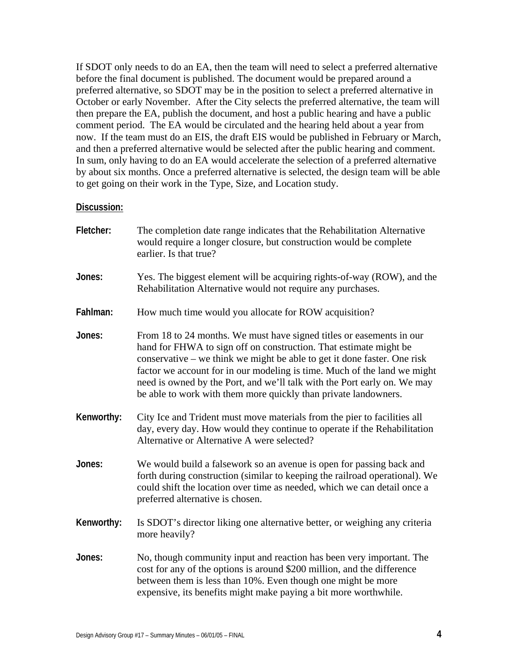If SDOT only needs to do an EA, then the team will need to select a preferred alternative before the final document is published. The document would be prepared around a preferred alternative, so SDOT may be in the position to select a preferred alternative in October or early November. After the City selects the preferred alternative, the team will then prepare the EA, publish the document, and host a public hearing and have a public comment period. The EA would be circulated and the hearing held about a year from now. If the team must do an EIS, the draft EIS would be published in February or March, and then a preferred alternative would be selected after the public hearing and comment. In sum, only having to do an EA would accelerate the selection of a preferred alternative by about six months. Once a preferred alternative is selected, the design team will be able to get going on their work in the Type, Size, and Location study.

#### **Discussion:**

| Fletcher:  | The completion date range indicates that the Rehabilitation Alternative<br>would require a longer closure, but construction would be complete<br>earlier. Is that true?                                                                                                                                                                                                                                                                          |
|------------|--------------------------------------------------------------------------------------------------------------------------------------------------------------------------------------------------------------------------------------------------------------------------------------------------------------------------------------------------------------------------------------------------------------------------------------------------|
| Jones:     | Yes. The biggest element will be acquiring rights-of-way (ROW), and the<br>Rehabilitation Alternative would not require any purchases.                                                                                                                                                                                                                                                                                                           |
| Fahlman:   | How much time would you allocate for ROW acquisition?                                                                                                                                                                                                                                                                                                                                                                                            |
| Jones:     | From 18 to 24 months. We must have signed titles or easements in our<br>hand for FHWA to sign off on construction. That estimate might be<br>conservative – we think we might be able to get it done faster. One risk<br>factor we account for in our modeling is time. Much of the land we might<br>need is owned by the Port, and we'll talk with the Port early on. We may<br>be able to work with them more quickly than private landowners. |
| Kenworthy: | City Ice and Trident must move materials from the pier to facilities all<br>day, every day. How would they continue to operate if the Rehabilitation<br>Alternative or Alternative A were selected?                                                                                                                                                                                                                                              |
| Jones:     | We would build a falsework so an avenue is open for passing back and<br>forth during construction (similar to keeping the railroad operational). We<br>could shift the location over time as needed, which we can detail once a<br>preferred alternative is chosen.                                                                                                                                                                              |
| Kenworthy: | Is SDOT's director liking one alternative better, or weighing any criteria<br>more heavily?                                                                                                                                                                                                                                                                                                                                                      |
| Jones:     | No, though community input and reaction has been very important. The<br>cost for any of the options is around \$200 million, and the difference<br>between them is less than 10%. Even though one might be more<br>expensive, its benefits might make paying a bit more worthwhile.                                                                                                                                                              |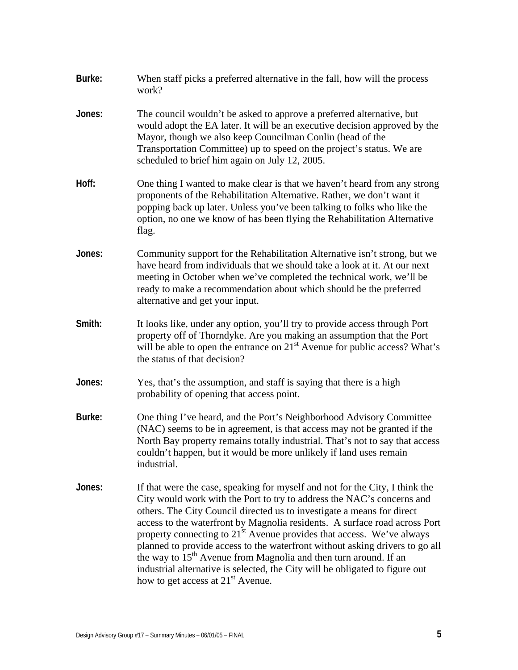| Burke: | When staff picks a preferred alternative in the fall, how will the process<br>work?                                                                                                                                                                                                                                                                                                                                                                                                                                                                                                                                                                                                        |
|--------|--------------------------------------------------------------------------------------------------------------------------------------------------------------------------------------------------------------------------------------------------------------------------------------------------------------------------------------------------------------------------------------------------------------------------------------------------------------------------------------------------------------------------------------------------------------------------------------------------------------------------------------------------------------------------------------------|
| Jones: | The council wouldn't be asked to approve a preferred alternative, but<br>would adopt the EA later. It will be an executive decision approved by the<br>Mayor, though we also keep Councilman Conlin (head of the<br>Transportation Committee) up to speed on the project's status. We are<br>scheduled to brief him again on July 12, 2005.                                                                                                                                                                                                                                                                                                                                                |
| Hoff:  | One thing I wanted to make clear is that we haven't heard from any strong<br>proponents of the Rehabilitation Alternative. Rather, we don't want it<br>popping back up later. Unless you've been talking to folks who like the<br>option, no one we know of has been flying the Rehabilitation Alternative<br>flag.                                                                                                                                                                                                                                                                                                                                                                        |
| Jones: | Community support for the Rehabilitation Alternative isn't strong, but we<br>have heard from individuals that we should take a look at it. At our next<br>meeting in October when we've completed the technical work, we'll be<br>ready to make a recommendation about which should be the preferred<br>alternative and get your input.                                                                                                                                                                                                                                                                                                                                                    |
| Smith: | It looks like, under any option, you'll try to provide access through Port<br>property off of Thorndyke. Are you making an assumption that the Port<br>will be able to open the entrance on $21st$ Avenue for public access? What's<br>the status of that decision?                                                                                                                                                                                                                                                                                                                                                                                                                        |
| Jones: | Yes, that's the assumption, and staff is saying that there is a high<br>probability of opening that access point.                                                                                                                                                                                                                                                                                                                                                                                                                                                                                                                                                                          |
| Burke: | One thing I've heard, and the Port's Neighborhood Advisory Committee<br>(NAC) seems to be in agreement, is that access may not be granted if the<br>North Bay property remains totally industrial. That's not to say that access<br>couldn't happen, but it would be more unlikely if land uses remain<br>industrial.                                                                                                                                                                                                                                                                                                                                                                      |
| Jones: | If that were the case, speaking for myself and not for the City, I think the<br>City would work with the Port to try to address the NAC's concerns and<br>others. The City Council directed us to investigate a means for direct<br>access to the waterfront by Magnolia residents. A surface road across Port<br>property connecting to 21 <sup>st</sup> Avenue provides that access. We've always<br>planned to provide access to the waterfront without asking drivers to go all<br>the way to $15th$ Avenue from Magnolia and then turn around. If an<br>industrial alternative is selected, the City will be obligated to figure out<br>how to get access at 21 <sup>st</sup> Avenue. |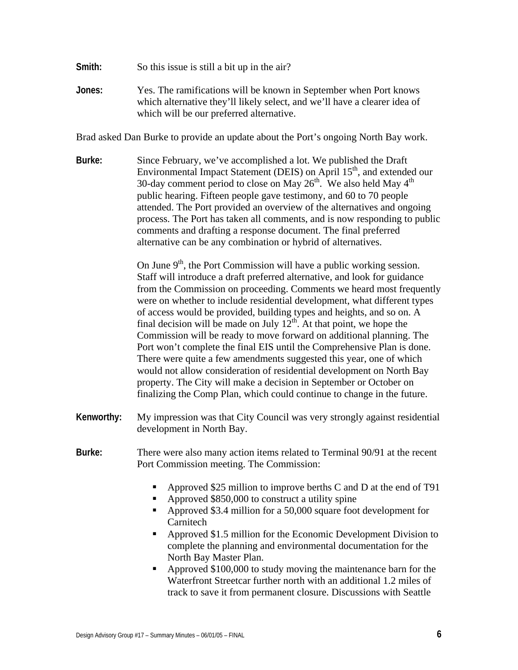- **Smith:** So this issue is still a bit up in the air?
- **Jones:** Yes. The ramifications will be known in September when Port knows which alternative they'll likely select, and we'll have a clearer idea of which will be our preferred alternative.

Brad asked Dan Burke to provide an update about the Port's ongoing North Bay work.

**Burke:** Since February, we've accomplished a lot. We published the Draft Environmental Impact Statement (DEIS) on April  $15<sup>th</sup>$ , and extended our 30-day comment period to close on May  $26<sup>th</sup>$ . We also held May  $4<sup>th</sup>$ public hearing. Fifteen people gave testimony, and 60 to 70 people attended. The Port provided an overview of the alternatives and ongoing process. The Port has taken all comments, and is now responding to public comments and drafting a response document. The final preferred alternative can be any combination or hybrid of alternatives.

> On June  $9<sup>th</sup>$ , the Port Commission will have a public working session. Staff will introduce a draft preferred alternative, and look for guidance from the Commission on proceeding. Comments we heard most frequently were on whether to include residential development, what different types of access would be provided, building types and heights, and so on. A final decision will be made on July  $12<sup>th</sup>$ . At that point, we hope the Commission will be ready to move forward on additional planning. The Port won't complete the final EIS until the Comprehensive Plan is done. There were quite a few amendments suggested this year, one of which would not allow consideration of residential development on North Bay property. The City will make a decision in September or October on finalizing the Comp Plan, which could continue to change in the future.

- **Kenworthy:** My impression was that City Council was very strongly against residential development in North Bay.
- **Burke:** There were also many action items related to Terminal 90/91 at the recent Port Commission meeting. The Commission:
	- Approved \$25 million to improve berths C and D at the end of T91
	- Approved \$850,000 to construct a utility spine
	- Approved \$3.4 million for a 50,000 square foot development for **Carnitech**
	- Approved \$1.5 million for the Economic Development Division to complete the planning and environmental documentation for the North Bay Master Plan.
	- Approved \$100,000 to study moving the maintenance barn for the Waterfront Streetcar further north with an additional 1.2 miles of track to save it from permanent closure. Discussions with Seattle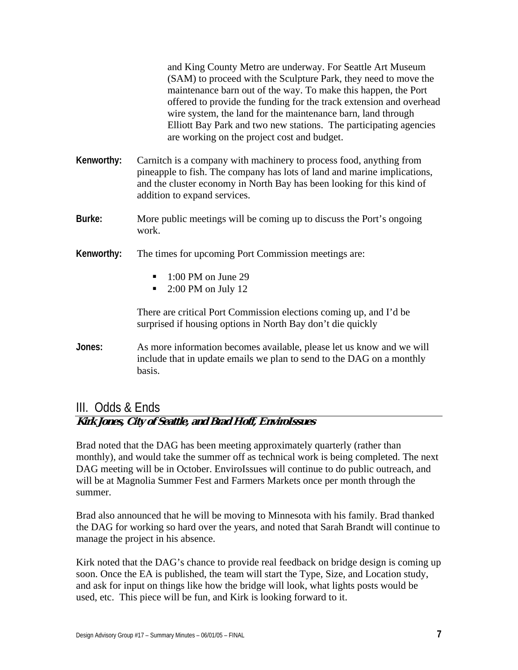|            | and King County Metro are underway. For Seattle Art Museum<br>(SAM) to proceed with the Sculpture Park, they need to move the<br>maintenance barn out of the way. To make this happen, the Port<br>offered to provide the funding for the track extension and overhead<br>wire system, the land for the maintenance barn, land through<br>Elliott Bay Park and two new stations. The participating agencies<br>are working on the project cost and budget. |
|------------|------------------------------------------------------------------------------------------------------------------------------------------------------------------------------------------------------------------------------------------------------------------------------------------------------------------------------------------------------------------------------------------------------------------------------------------------------------|
| Kenworthy: | Carnitch is a company with machinery to process food, anything from<br>pineapple to fish. The company has lots of land and marine implications,<br>and the cluster economy in North Bay has been looking for this kind of<br>addition to expand services.                                                                                                                                                                                                  |
| Burke:     | More public meetings will be coming up to discuss the Port's ongoing<br>work.                                                                                                                                                                                                                                                                                                                                                                              |
| Kenworthy: | The times for upcoming Port Commission meetings are:                                                                                                                                                                                                                                                                                                                                                                                                       |
|            | $1:00$ PM on June 29<br>٠<br>$2:00$ PM on July 12<br>٠                                                                                                                                                                                                                                                                                                                                                                                                     |
|            | There are critical Port Commission elections coming up, and I'd be                                                                                                                                                                                                                                                                                                                                                                                         |

surprised if housing options in North Bay don't die quickly

**Jones:** As more information becomes available, please let us know and we will include that in update emails we plan to send to the DAG on a monthly basis.

#### III. Odds & Ends **Kirk Jones, City of Seattle, and Brad Hoff, EnviroIssues**

Brad noted that the DAG has been meeting approximately quarterly (rather than monthly), and would take the summer off as technical work is being completed. The next DAG meeting will be in October. EnviroIssues will continue to do public outreach, and will be at Magnolia Summer Fest and Farmers Markets once per month through the summer.

Brad also announced that he will be moving to Minnesota with his family. Brad thanked the DAG for working so hard over the years, and noted that Sarah Brandt will continue to manage the project in his absence.

Kirk noted that the DAG's chance to provide real feedback on bridge design is coming up soon. Once the EA is published, the team will start the Type, Size, and Location study, and ask for input on things like how the bridge will look, what lights posts would be used, etc. This piece will be fun, and Kirk is looking forward to it.